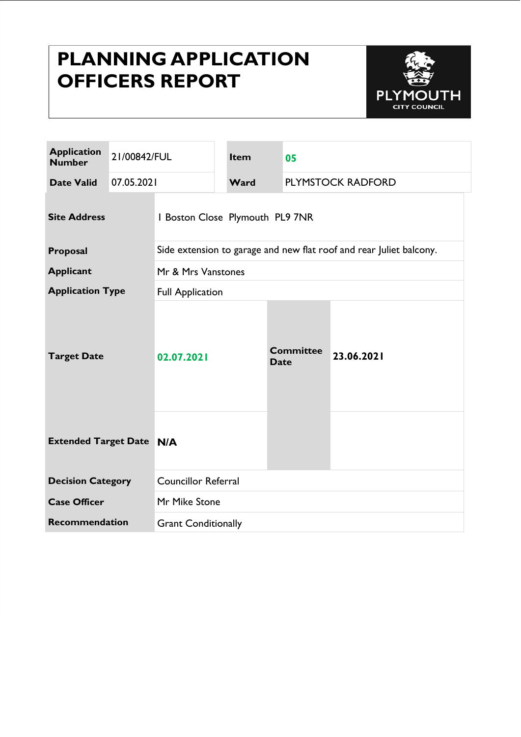# **PLANNING APPLICATION OFFICERS REPORT**



| <b>Application</b><br><b>Number</b> | 21/00842/FUL |                                                                     | <b>Item</b> | 05                              |                   |            |  |
|-------------------------------------|--------------|---------------------------------------------------------------------|-------------|---------------------------------|-------------------|------------|--|
| <b>Date Valid</b>                   | 07.05.2021   |                                                                     | Ward        |                                 | PLYMSTOCK RADFORD |            |  |
| <b>Site Address</b>                 |              | I Boston Close Plymouth PL9 7NR                                     |             |                                 |                   |            |  |
| Proposal                            |              | Side extension to garage and new flat roof and rear Juliet balcony. |             |                                 |                   |            |  |
| <b>Applicant</b>                    |              | Mr & Mrs Vanstones                                                  |             |                                 |                   |            |  |
| <b>Application Type</b>             |              | <b>Full Application</b>                                             |             |                                 |                   |            |  |
| <b>Target Date</b>                  |              | 02.07.2021                                                          |             | <b>Committee</b><br><b>Date</b> |                   | 23.06.2021 |  |
| <b>Extended Target Date N/A</b>     |              |                                                                     |             |                                 |                   |            |  |
| <b>Decision Category</b>            |              | <b>Councillor Referral</b>                                          |             |                                 |                   |            |  |
| <b>Case Officer</b>                 |              | Mr Mike Stone                                                       |             |                                 |                   |            |  |
| <b>Recommendation</b>               |              | <b>Grant Conditionally</b>                                          |             |                                 |                   |            |  |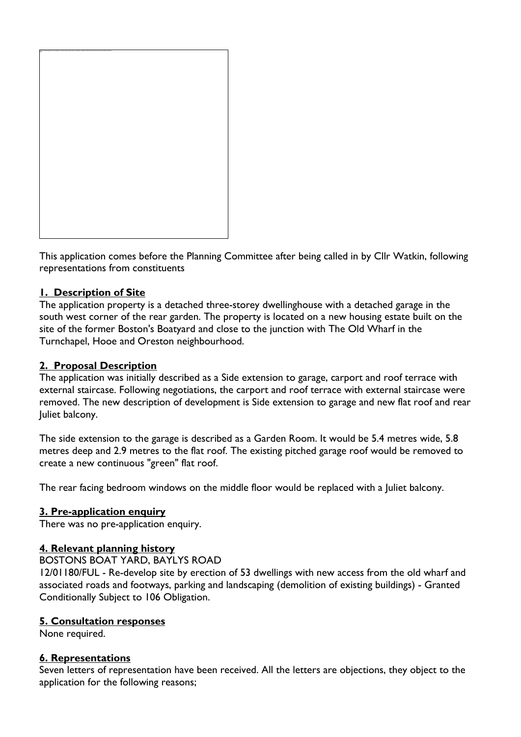

This application comes before the Planning Committee after being called in by Cllr Watkin, following representations from constituents

#### **1. Description of Site**

The application property is a detached three-storey dwellinghouse with a detached garage in the south west corner of the rear garden. The property is located on a new housing estate built on the site of the former Boston's Boatyard and close to the junction with The Old Wharf in the Turnchapel, Hooe and Oreston neighbourhood.

#### **2. Proposal Description**

The application was initially described as a Side extension to garage, carport and roof terrace with external staircase. Following negotiations, the carport and roof terrace with external staircase were removed. The new description of development is Side extension to garage and new flat roof and rear Juliet balcony.

The side extension to the garage is described as a Garden Room. It would be 5.4 metres wide, 5.8 metres deep and 2.9 metres to the flat roof. The existing pitched garage roof would be removed to create a new continuous "green" flat roof.

The rear facing bedroom windows on the middle floor would be replaced with a Juliet balcony.

#### **3. Pre-application enquiry**

There was no pre-application enquiry.

#### **4. Relevant planning history**

#### BOSTONS BOAT YARD, BAYLYS ROAD

12/01180/FUL - Re-develop site by erection of 53 dwellings with new access from the old wharf and associated roads and footways, parking and landscaping (demolition of existing buildings) - Granted Conditionally Subject to 106 Obligation.

#### **5. Consultation responses**

None required.

#### **6. Representations**

Seven letters of representation have been received. All the letters are objections, they object to the application for the following reasons;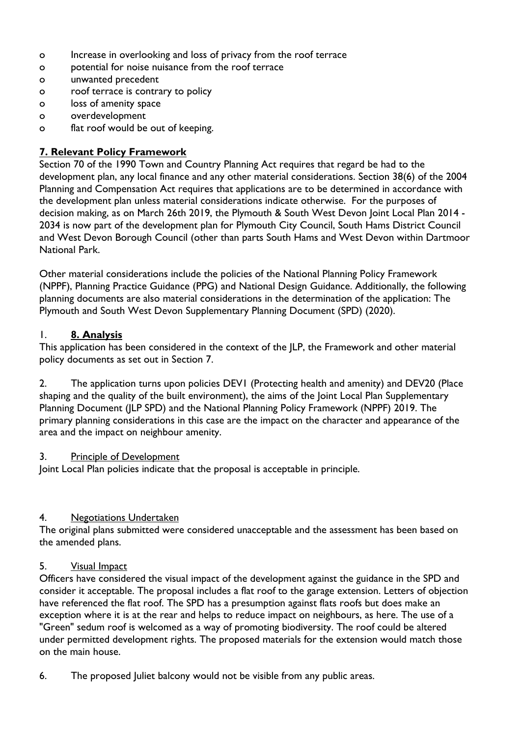- o Increase in overlooking and loss of privacy from the roof terrace
- o potential for noise nuisance from the roof terrace
- o unwanted precedent
- o roof terrace is contrary to policy
- o loss of amenity space
- o overdevelopment
- o flat roof would be out of keeping.

## **7. Relevant Policy Framework**

Section 70 of the 1990 Town and Country Planning Act requires that regard be had to the development plan, any local finance and any other material considerations. Section 38(6) of the 2004 Planning and Compensation Act requires that applications are to be determined in accordance with the development plan unless material considerations indicate otherwise. For the purposes of decision making, as on March 26th 2019, the Plymouth & South West Devon Joint Local Plan 2014 - 2034 is now part of the development plan for Plymouth City Council, South Hams District Council and West Devon Borough Council (other than parts South Hams and West Devon within Dartmoor National Park.

Other material considerations include the policies of the National Planning Policy Framework (NPPF), Planning Practice Guidance (PPG) and National Design Guidance. Additionally, the following planning documents are also material considerations in the determination of the application: The Plymouth and South West Devon Supplementary Planning Document (SPD) (2020).

## 1. **8. Analysis**

This application has been considered in the context of the JLP, the Framework and other material policy documents as set out in Section 7.

2. The application turns upon policies DEV1 (Protecting health and amenity) and DEV20 (Place shaping and the quality of the built environment), the aims of the Joint Local Plan Supplementary Planning Document (JLP SPD) and the National Planning Policy Framework (NPPF) 2019. The primary planning considerations in this case are the impact on the character and appearance of the area and the impact on neighbour amenity.

#### 3. Principle of Development

Joint Local Plan policies indicate that the proposal is acceptable in principle.

## 4. Negotiations Undertaken

The original plans submitted were considered unacceptable and the assessment has been based on the amended plans.

#### 5. Visual Impact

Officers have considered the visual impact of the development against the guidance in the SPD and consider it acceptable. The proposal includes a flat roof to the garage extension. Letters of objection have referenced the flat roof. The SPD has a presumption against flats roofs but does make an exception where it is at the rear and helps to reduce impact on neighbours, as here. The use of a "Green" sedum roof is welcomed as a way of promoting biodiversity. The roof could be altered under permitted development rights. The proposed materials for the extension would match those on the main house.

6. The proposed Juliet balcony would not be visible from any public areas.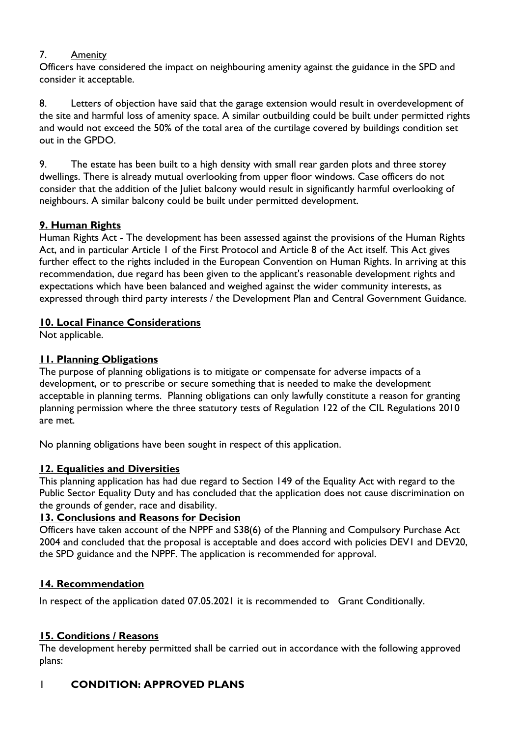## 7. Amenity

Officers have considered the impact on neighbouring amenity against the guidance in the SPD and consider it acceptable.

8. Letters of objection have said that the garage extension would result in overdevelopment of the site and harmful loss of amenity space. A similar outbuilding could be built under permitted rights and would not exceed the 50% of the total area of the curtilage covered by buildings condition set out in the GPDO.

9. The estate has been built to a high density with small rear garden plots and three storey dwellings. There is already mutual overlooking from upper floor windows. Case officers do not consider that the addition of the Juliet balcony would result in significantly harmful overlooking of neighbours. A similar balcony could be built under permitted development.

# **9. Human Rights**

Human Rights Act - The development has been assessed against the provisions of the Human Rights Act, and in particular Article 1 of the First Protocol and Article 8 of the Act itself. This Act gives further effect to the rights included in the European Convention on Human Rights. In arriving at this recommendation, due regard has been given to the applicant's reasonable development rights and expectations which have been balanced and weighed against the wider community interests, as expressed through third party interests / the Development Plan and Central Government Guidance.

## **10. Local Finance Considerations**

Not applicable.

# **11. Planning Obligations**

The purpose of planning obligations is to mitigate or compensate for adverse impacts of a development, or to prescribe or secure something that is needed to make the development acceptable in planning terms. Planning obligations can only lawfully constitute a reason for granting planning permission where the three statutory tests of Regulation 122 of the CIL Regulations 2010 are met.

No planning obligations have been sought in respect of this application.

# **12. Equalities and Diversities**

This planning application has had due regard to Section 149 of the Equality Act with regard to the Public Sector Equality Duty and has concluded that the application does not cause discrimination on the grounds of gender, race and disability.

# **13. Conclusions and Reasons for Decision**

Officers have taken account of the NPPF and S38(6) of the Planning and Compulsory Purchase Act 2004 and concluded that the proposal is acceptable and does accord with policies DEV1 and DEV20, the SPD guidance and the NPPF. The application is recommended for approval.

# **14. Recommendation**

In respect of the application dated 07.05.2021 it is recommended to Grant Conditionally.

# **15. Conditions / Reasons**

The development hereby permitted shall be carried out in accordance with the following approved plans:

# 1 **CONDITION: APPROVED PLANS**